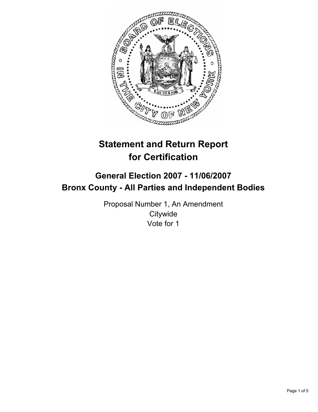

# **Statement and Return Report for Certification**

## **General Election 2007 - 11/06/2007 Bronx County - All Parties and Independent Bodies**

Proposal Number 1, An Amendment **Citywide** Vote for 1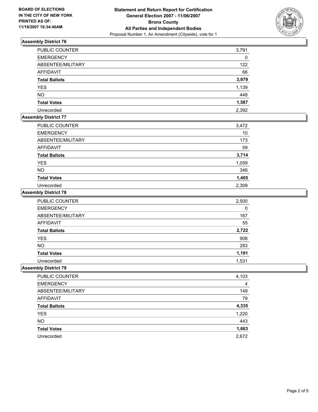

## **Assembly District 76**

| PUBLIC COUNTER       | 3,791 |
|----------------------|-------|
| <b>EMERGENCY</b>     | 0     |
| ABSENTEE/MILITARY    | 122   |
| AFFIDAVIT            | 66    |
| <b>Total Ballots</b> | 3,979 |
| <b>YES</b>           | 1,139 |
| <b>NO</b>            | 448   |
| <b>Total Votes</b>   | 1,587 |
| Unrecorded           | 2,392 |

## **Assembly District 77**

| PUBLIC COUNTER       | 3,472 |
|----------------------|-------|
| <b>EMERGENCY</b>     | 10    |
| ABSENTEE/MILITARY    | 173   |
| AFFIDAVIT            | 59    |
| <b>Total Ballots</b> | 3,714 |
| <b>YES</b>           | 1,059 |
| <b>NO</b>            | 346   |
| <b>Total Votes</b>   | 1,405 |
| Unrecorded           | 2,309 |

#### **Assembly District 78**

| PUBLIC COUNTER       | 2,500 |
|----------------------|-------|
| <b>EMERGENCY</b>     | 0     |
| ABSENTEE/MILITARY    | 167   |
| AFFIDAVIT            | 55    |
| <b>Total Ballots</b> | 2,722 |
| <b>YES</b>           | 908   |
| NO.                  | 283   |
| <b>Total Votes</b>   | 1,191 |
| Unrecorded           | 1,531 |

#### **Assembly District 79**

| <b>PUBLIC COUNTER</b> | 4,103 |
|-----------------------|-------|
| <b>EMERGENCY</b>      | 4     |
| ABSENTEE/MILITARY     | 149   |
| AFFIDAVIT             | 79    |
| <b>Total Ballots</b>  | 4,335 |
| <b>YES</b>            | 1,220 |
| <b>NO</b>             | 443   |
| <b>Total Votes</b>    | 1,663 |
| Unrecorded            | 2,672 |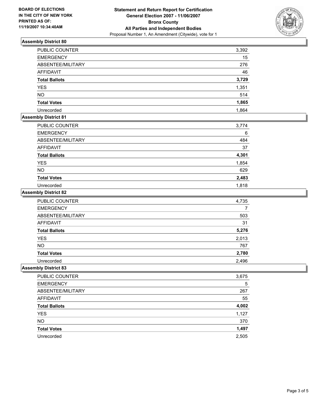

#### **Assembly District 80**

| PUBLIC COUNTER       | 3,392 |
|----------------------|-------|
| <b>EMERGENCY</b>     | 15    |
| ABSENTEE/MILITARY    | 276   |
| <b>AFFIDAVIT</b>     | 46    |
| <b>Total Ballots</b> | 3,729 |
| <b>YES</b>           | 1,351 |
| <b>NO</b>            | 514   |
| <b>Total Votes</b>   | 1,865 |
| Unrecorded           | 1,864 |

## **Assembly District 81**

| PUBLIC COUNTER       | 3,774 |
|----------------------|-------|
| <b>EMERGENCY</b>     | 6     |
| ABSENTEE/MILITARY    | 484   |
| AFFIDAVIT            | 37    |
| <b>Total Ballots</b> | 4,301 |
| <b>YES</b>           | 1,854 |
| <b>NO</b>            | 629   |
| <b>Total Votes</b>   | 2,483 |
| Unrecorded           | 1,818 |

#### **Assembly District 82**

| PUBLIC COUNTER       | 4,735 |
|----------------------|-------|
| <b>EMERGENCY</b>     |       |
| ABSENTEE/MILITARY    | 503   |
| <b>AFFIDAVIT</b>     | 31    |
| <b>Total Ballots</b> | 5,276 |
| <b>YES</b>           | 2,013 |
| <b>NO</b>            | 767   |
| <b>Total Votes</b>   | 2,780 |
| Unrecorded           | 2,496 |

#### **Assembly District 83**

| PUBLIC COUNTER       | 3,675 |
|----------------------|-------|
| <b>EMERGENCY</b>     | 5     |
| ABSENTEE/MILITARY    | 267   |
| AFFIDAVIT            | 55    |
| <b>Total Ballots</b> | 4,002 |
| YES                  | 1,127 |
| <b>NO</b>            | 370   |
| <b>Total Votes</b>   | 1,497 |
| Unrecorded           | 2,505 |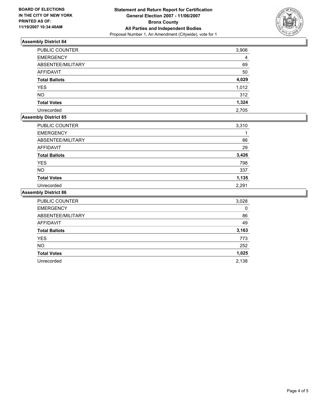

## **Assembly District 84**

| <b>PUBLIC COUNTER</b> | 3,906 |
|-----------------------|-------|
| <b>EMERGENCY</b>      |       |
| ABSENTEE/MILITARY     | 69    |
| AFFIDAVIT             | 50    |
| <b>Total Ballots</b>  | 4,029 |
| <b>YES</b>            | 1,012 |
| <b>NO</b>             | 312   |
| <b>Total Votes</b>    | 1,324 |
| Unrecorded            | 2,705 |

## **Assembly District 85**

| PUBLIC COUNTER       | 3,310 |
|----------------------|-------|
| <b>EMERGENCY</b>     |       |
| ABSENTEE/MILITARY    | 86    |
| AFFIDAVIT            | 29    |
| <b>Total Ballots</b> | 3,426 |
| <b>YES</b>           | 798   |
| <b>NO</b>            | 337   |
| <b>Total Votes</b>   | 1,135 |
| Unrecorded           | 2,291 |

#### **Assembly District 86**

| <b>PUBLIC COUNTER</b> | 3,028 |
|-----------------------|-------|
| <b>EMERGENCY</b>      | 0     |
| ABSENTEE/MILITARY     | 86    |
| <b>AFFIDAVIT</b>      | 49    |
| <b>Total Ballots</b>  | 3,163 |
| <b>YES</b>            | 773   |
| <b>NO</b>             | 252   |
| <b>Total Votes</b>    | 1,025 |
| Unrecorded            | 2,138 |